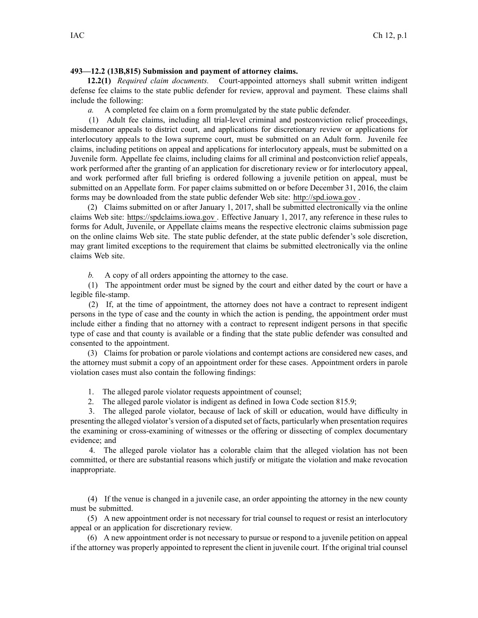## **493—12.2 (13B,815) Submission and payment of attorney claims.**

**12.2(1)** *Required claim documents.* Court-appointed attorneys shall submit written indigent defense fee claims to the state public defender for review, approval and payment. These claims shall include the following:

*a.* A completed fee claim on <sup>a</sup> form promulgated by the state public defender.

(1) Adult fee claims, including all trial-level criminal and postconviction relief proceedings, misdemeanor appeals to district court, and applications for discretionary review or applications for interlocutory appeals to the Iowa supreme court, must be submitted on an Adult form. Juvenile fee claims, including petitions on appeal and applications for interlocutory appeals, must be submitted on <sup>a</sup> Juvenile form. Appellate fee claims, including claims for all criminal and postconviction relief appeals, work performed after the granting of an application for discretionary review or for interlocutory appeal, and work performed after full briefing is ordered following <sup>a</sup> juvenile petition on appeal, must be submitted on an Appellate form. For paper claims submitted on or before December 31, 2016, the claim forms may be downloaded from the state public defender Web site: <http://spd.iowa.gov> .

(2) Claims submitted on or after January 1, 2017, shall be submitted electronically via the online claims Web site: <https://spdclaims.iowa.gov> . Effective January 1, 2017, any reference in these rules to forms for Adult, Juvenile, or Appellate claims means the respective electronic claims submission page on the online claims Web site. The state public defender, at the state public defender's sole discretion, may gran<sup>t</sup> limited exceptions to the requirement that claims be submitted electronically via the online claims Web site.

*b.* A copy of all orders appointing the attorney to the case.

(1) The appointment order must be signed by the court and either dated by the court or have <sup>a</sup> legible file-stamp.

(2) If, at the time of appointment, the attorney does not have <sup>a</sup> contract to represen<sup>t</sup> indigent persons in the type of case and the county in which the action is pending, the appointment order must include either <sup>a</sup> finding that no attorney with <sup>a</sup> contract to represen<sup>t</sup> indigent persons in that specific type of case and that county is available or <sup>a</sup> finding that the state public defender was consulted and consented to the appointment.

(3) Claims for probation or parole violations and contempt actions are considered new cases, and the attorney must submit <sup>a</sup> copy of an appointment order for these cases. Appointment orders in parole violation cases must also contain the following findings:

1. The alleged parole violator requests appointment of counsel;

2. The alleged parole violator is indigent as defined in Iowa Code section [815.9](https://www.legis.iowa.gov/docs/ico/section/815.9.pdf);

3. The alleged parole violator, because of lack of skill or education, would have difficulty in presenting the alleged violator's version of <sup>a</sup> disputed set of facts, particularly when presentation requires the examining or cross-examining of witnesses or the offering or dissecting of complex documentary evidence; and

4. The alleged parole violator has <sup>a</sup> colorable claim that the alleged violation has not been committed, or there are substantial reasons which justify or mitigate the violation and make revocation inappropriate.

(4) If the venue is changed in <sup>a</sup> juvenile case, an order appointing the attorney in the new county must be submitted.

(5) A new appointment order is not necessary for trial counsel to reques<sup>t</sup> or resist an interlocutory appeal or an application for discretionary review.

(6) A new appointment order is not necessary to pursue or respond to <sup>a</sup> juvenile petition on appeal if the attorney was properly appointed to represen<sup>t</sup> the client in juvenile court. If the original trial counsel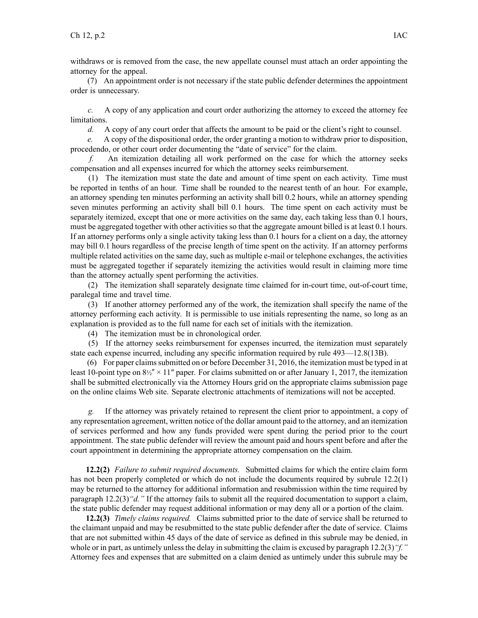withdraws or is removed from the case, the new appellate counsel must attach an order appointing the attorney for the appeal.

(7) An appointment order is not necessary if the state public defender determines the appointment order is unnecessary.

*c.* A copy of any application and court order authorizing the attorney to exceed the attorney fee limitations.

*d.* A copy of any court order that affects the amount to be paid or the client's right to counsel.

*e.* A copy of the dispositional order, the order granting <sup>a</sup> motion to withdraw prior to disposition, procedendo, or other court order documenting the "date of service" for the claim.

*f.* An itemization detailing all work performed on the case for which the attorney seeks compensation and all expenses incurred for which the attorney seeks reimbursement.

(1) The itemization must state the date and amount of time spen<sup>t</sup> on each activity. Time must be reported in tenths of an hour. Time shall be rounded to the nearest tenth of an hour. For example, an attorney spending ten minutes performing an activity shall bill 0.2 hours, while an attorney spending seven minutes performing an activity shall bill 0.1 hours. The time spen<sup>t</sup> on each activity must be separately itemized, excep<sup>t</sup> that one or more activities on the same day, each taking less than 0.1 hours, must be aggregated together with other activities so that the aggregate amount billed is at least 0.1 hours. If an attorney performs only <sup>a</sup> single activity taking less than 0.1 hours for <sup>a</sup> client on <sup>a</sup> day, the attorney may bill 0.1 hours regardless of the precise length of time spen<sup>t</sup> on the activity. If an attorney performs multiple related activities on the same day, such as multiple e-mail or telephone exchanges, the activities must be aggregated together if separately itemizing the activities would result in claiming more time than the attorney actually spen<sup>t</sup> performing the activities.

(2) The itemization shall separately designate time claimed for in-court time, out-of-court time, paralegal time and travel time.

(3) If another attorney performed any of the work, the itemization shall specify the name of the attorney performing each activity. It is permissible to use initials representing the name, so long as an explanation is provided as to the full name for each set of initials with the itemization.

(4) The itemization must be in chronological order.

(5) If the attorney seeks reimbursement for expenses incurred, the itemization must separately state each expense incurred, including any specific information required by rule [493—12.8](https://www.legis.iowa.gov/docs/iac/rule/493.12.8.pdf)(13B).

(6) For paper claimssubmitted on or before December 31, 2016, the itemization must be typed in at least 10-point type on  $8\frac{1}{2}$  × 11" paper. For claims submitted on or after January 1, 2017, the itemization shall be submitted electronically via the Attorney Hours grid on the appropriate claims submission page on the online claims Web site. Separate electronic attachments of itemizations will not be accepted.

*g.* If the attorney was privately retained to represen<sup>t</sup> the client prior to appointment, <sup>a</sup> copy of any representation agreement, written notice of the dollar amount paid to the attorney, and an itemization of services performed and how any funds provided were spen<sup>t</sup> during the period prior to the court appointment. The state public defender will review the amount paid and hours spen<sup>t</sup> before and after the court appointment in determining the appropriate attorney compensation on the claim.

**12.2(2)** *Failure to submit required documents.* Submitted claims for which the entire claim form has not been properly completed or which do not include the documents required by subrule [12.2\(1\)](https://www.legis.iowa.gov/docs/iac/rule/493.12.2.pdf) may be returned to the attorney for additional information and resubmission within the time required by paragraph [12.2\(3\)](https://www.legis.iowa.gov/docs/iac/rule/493.12.2.pdf)*"d."* If the attorney fails to submit all the required documentation to suppor<sup>t</sup> <sup>a</sup> claim, the state public defender may reques<sup>t</sup> additional information or may deny all or <sup>a</sup> portion of the claim.

**12.2(3)** *Timely claims required.* Claims submitted prior to the date of service shall be returned to the claimant unpaid and may be resubmitted to the state public defender after the date of service. Claims that are not submitted within 45 days of the date of service as defined in this subrule may be denied, in whole or in part, as untimely unless the delay in submitting the claim is excused by paragraph [12.2\(3\)](https://www.legis.iowa.gov/docs/iac/rule/493.12.2.pdf) "*f.*" Attorney fees and expenses that are submitted on <sup>a</sup> claim denied as untimely under this subrule may be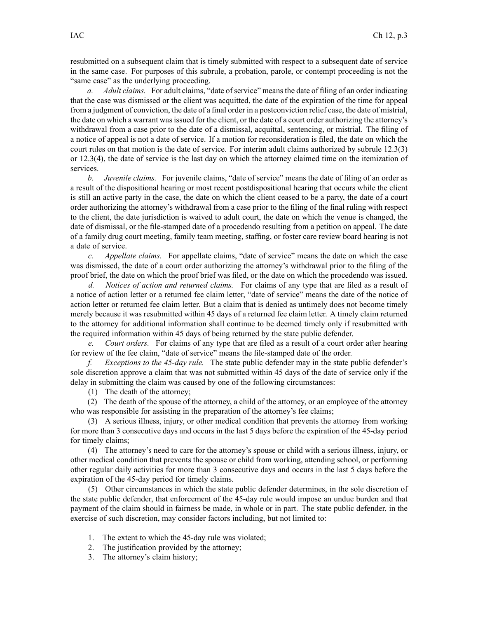resubmitted on <sup>a</sup> subsequent claim that is timely submitted with respec<sup>t</sup> to <sup>a</sup> subsequent date of service in the same case. For purposes of this subrule, <sup>a</sup> probation, parole, or contempt proceeding is not the "same case" as the underlying proceeding.

*a. Adult claims.* For adult claims, "date of service" means the date of filing of an order indicating that the case was dismissed or the client was acquitted, the date of the expiration of the time for appeal from <sup>a</sup> judgment of conviction, the date of <sup>a</sup> final order in <sup>a</sup> postconviction relief case, the date of mistrial, the date on which <sup>a</sup> warrant wasissued for the client, or the date of <sup>a</sup> court order authorizing the attorney's withdrawal from a case prior to the date of a dismissal, acquittal, sentencing, or mistrial. The filing of <sup>a</sup> notice of appeal is not <sup>a</sup> date of service. If <sup>a</sup> motion for reconsideration is filed, the date on which the court rules on that motion is the date of service. For interim adult claims authorized by subrule [12.3\(3\)](https://www.legis.iowa.gov/docs/iac/rule/493.12.3.pdf) or [12.3\(4\)](https://www.legis.iowa.gov/docs/iac/rule/493.12.3.pdf), the date of service is the last day on which the attorney claimed time on the itemization of services.

*b. Juvenile claims.* For juvenile claims, "date of service" means the date of filing of an order as <sup>a</sup> result of the dispositional hearing or most recent postdispositional hearing that occurs while the client is still an active party in the case, the date on which the client ceased to be <sup>a</sup> party, the date of <sup>a</sup> court order authorizing the attorney's withdrawal from <sup>a</sup> case prior to the filing of the final ruling with respec<sup>t</sup> to the client, the date jurisdiction is waived to adult court, the date on which the venue is changed, the date of dismissal, or the file-stamped date of <sup>a</sup> procedendo resulting from <sup>a</sup> petition on appeal. The date of <sup>a</sup> family drug court meeting, family team meeting, staffing, or foster care review board hearing is not <sup>a</sup> date of service.

*c. Appellate claims.* For appellate claims, "date of service" means the date on which the case was dismissed, the date of <sup>a</sup> court order authorizing the attorney's withdrawal prior to the filing of the proof brief, the date on which the proof brief was filed, or the date on which the procedendo was issued.

*d. Notices of action and returned claims.* For claims of any type that are filed as <sup>a</sup> result of <sup>a</sup> notice of action letter or <sup>a</sup> returned fee claim letter, "date of service" means the date of the notice of action letter or returned fee claim letter. But <sup>a</sup> claim that is denied as untimely does not become timely merely because it was resubmitted within 45 days of <sup>a</sup> returned fee claim letter. A timely claim returned to the attorney for additional information shall continue to be deemed timely only if resubmitted with the required information within 45 days of being returned by the state public defender.

*e. Court orders.* For claims of any type that are filed as <sup>a</sup> result of <sup>a</sup> court order after hearing for review of the fee claim, "date of service" means the file-stamped date of the order.

*f. Exceptions to the 45-day rule.* The state public defender may in the state public defender's sole discretion approve <sup>a</sup> claim that was not submitted within 45 days of the date of service only if the delay in submitting the claim was caused by one of the following circumstances:

(1) The death of the attorney;

(2) The death of the spouse of the attorney, <sup>a</sup> child of the attorney, or an employee of the attorney who was responsible for assisting in the preparation of the attorney's fee claims;

(3) A serious illness, injury, or other medical condition that prevents the attorney from working for more than 3 consecutive days and occurs in the last 5 days before the expiration of the 45-day period for timely claims;

(4) The attorney's need to care for the attorney's spouse or child with <sup>a</sup> serious illness, injury, or other medical condition that prevents the spouse or child from working, attending school, or performing other regular daily activities for more than 3 consecutive days and occurs in the last 5 days before the expiration of the 45-day period for timely claims.

(5) Other circumstances in which the state public defender determines, in the sole discretion of the state public defender, that enforcement of the 45-day rule would impose an undue burden and that paymen<sup>t</sup> of the claim should in fairness be made, in whole or in part. The state public defender, in the exercise of such discretion, may consider factors including, but not limited to:

- 1. The extent to which the 45-day rule was violated;
- 2. The justification provided by the attorney;
- 3. The attorney's claim history;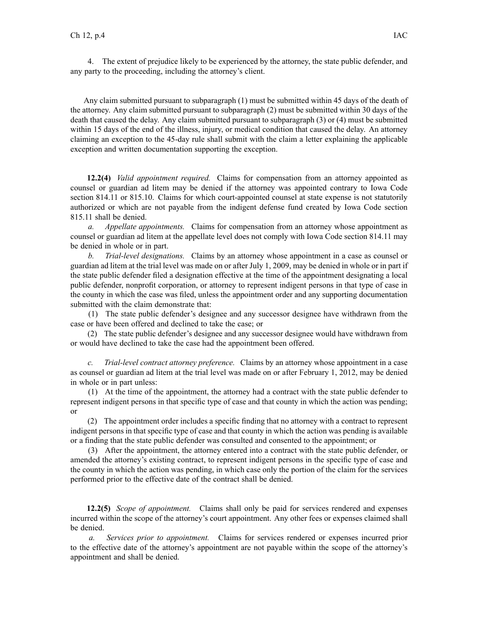4. The extent of prejudice likely to be experienced by the attorney, the state public defender, and any party to the proceeding, including the attorney's client.

Any claim submitted pursuan<sup>t</sup> to subparagraph (1) must be submitted within 45 days of the death of the attorney. Any claim submitted pursuan<sup>t</sup> to subparagraph (2) must be submitted within 30 days of the death that caused the delay. Any claim submitted pursuan<sup>t</sup> to subparagraph (3) or (4) must be submitted within 15 days of the end of the illness, injury, or medical condition that caused the delay. An attorney claiming an exception to the 45-day rule shall submit with the claim <sup>a</sup> letter explaining the applicable exception and written documentation supporting the exception.

**12.2(4)** *Valid appointment required.* Claims for compensation from an attorney appointed as counsel or guardian ad litem may be denied if the attorney was appointed contrary to Iowa Code section [814.11](https://www.legis.iowa.gov/docs/ico/section/814.11.pdf) or [815.10](https://www.legis.iowa.gov/docs/ico/section/815.10.pdf). Claims for which court-appointed counsel at state expense is not statutorily authorized or which are not payable from the indigent defense fund created by Iowa Code section [815.11](https://www.legis.iowa.gov/docs/ico/section/815.11.pdf) shall be denied.

*a. Appellate appointments.* Claims for compensation from an attorney whose appointment as counsel or guardian ad litem at the appellate level does not comply with Iowa Code section [814.11](https://www.legis.iowa.gov/docs/ico/section/814.11.pdf) may be denied in whole or in part.

*b. Trial-level designations.* Claims by an attorney whose appointment in <sup>a</sup> case as counsel or guardian ad litem at the trial level was made on or after July 1, 2009, may be denied in whole or in par<sup>t</sup> if the state public defender filed <sup>a</sup> designation effective at the time of the appointment designating <sup>a</sup> local public defender, nonprofit corporation, or attorney to represen<sup>t</sup> indigent persons in that type of case in the county in which the case was filed, unless the appointment order and any supporting documentation submitted with the claim demonstrate that:

(1) The state public defender's designee and any successor designee have withdrawn from the case or have been offered and declined to take the case; or

(2) The state public defender's designee and any successor designee would have withdrawn from or would have declined to take the case had the appointment been offered.

*c. Trial-level contract attorney preference.* Claims by an attorney whose appointment in <sup>a</sup> case as counsel or guardian ad litem at the trial level was made on or after February 1, 2012, may be denied in whole or in par<sup>t</sup> unless:

(1) At the time of the appointment, the attorney had <sup>a</sup> contract with the state public defender to represen<sup>t</sup> indigent persons in that specific type of case and that county in which the action was pending; or

(2) The appointment order includes <sup>a</sup> specific finding that no attorney with <sup>a</sup> contract to represen<sup>t</sup> indigent persons in that specific type of case and that county in which the action was pending is available or <sup>a</sup> finding that the state public defender was consulted and consented to the appointment; or

(3) After the appointment, the attorney entered into <sup>a</sup> contract with the state public defender, or amended the attorney's existing contract, to represen<sup>t</sup> indigent persons in the specific type of case and the county in which the action was pending, in which case only the portion of the claim for the services performed prior to the effective date of the contract shall be denied.

**12.2(5)** *Scope of appointment.* Claims shall only be paid for services rendered and expenses incurred within the scope of the attorney's court appointment. Any other fees or expenses claimed shall be denied.

*a. Services prior to appointment.* Claims for services rendered or expenses incurred prior to the effective date of the attorney's appointment are not payable within the scope of the attorney's appointment and shall be denied.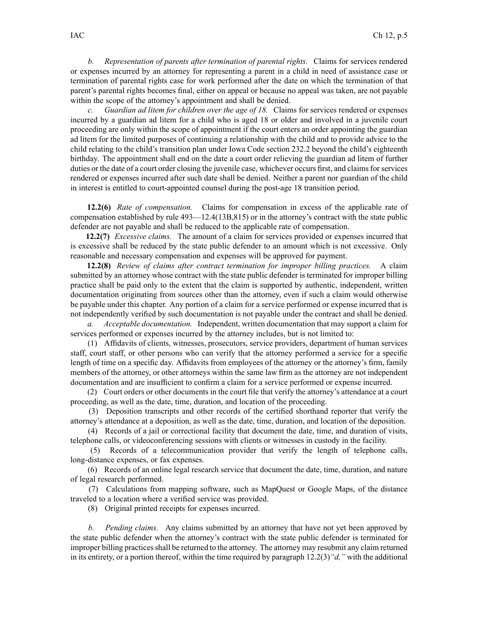*b. Representation of parents after termination of parental rights.* Claims for services rendered or expenses incurred by an attorney for representing <sup>a</sup> paren<sup>t</sup> in <sup>a</sup> child in need of assistance case or termination of parental rights case for work performed after the date on which the termination of that parent's parental rights becomes final, either on appeal or because no appeal was taken, are not payable within the scope of the attorney's appointment and shall be denied.

*c. Guardian ad litem for children over the age of 18.* Claims for services rendered or expenses incurred by <sup>a</sup> guardian ad litem for <sup>a</sup> child who is aged 18 or older and involved in <sup>a</sup> juvenile court proceeding are only within the scope of appointment if the court enters an order appointing the guardian ad litem for the limited purposes of continuing <sup>a</sup> relationship with the child and to provide advice to the child relating to the child's transition plan under Iowa Code section [232.2](https://www.legis.iowa.gov/docs/ico/section/232.2.pdf) beyond the child's eighteenth birthday. The appointment shall end on the date <sup>a</sup> court order relieving the guardian ad litem of further duties or the date of a court order closing the juvenile case, whichever occurs first, and claims for services rendered or expenses incurred after such date shall be denied. Neither <sup>a</sup> paren<sup>t</sup> nor guardian of the child in interest is entitled to court-appointed counsel during the post-age 18 transition period.

**12.2(6)** *Rate of compensation.* Claims for compensation in excess of the applicable rate of compensation established by rule [493—12.4](https://www.legis.iowa.gov/docs/iac/rule/493.12.4.pdf)(13B,815) or in the attorney's contract with the state public defender are not payable and shall be reduced to the applicable rate of compensation.

**12.2(7)** *Excessive claims.* The amount of <sup>a</sup> claim for services provided or expenses incurred that is excessive shall be reduced by the state public defender to an amount which is not excessive. Only reasonable and necessary compensation and expenses will be approved for payment.

**12.2(8)** *Review of claims after contract termination for improper billing practices.* A claim submitted by an attorney whose contract with the state public defender is terminated for improper billing practice shall be paid only to the extent that the claim is supported by authentic, independent, written documentation originating from sources other than the attorney, even if such <sup>a</sup> claim would otherwise be payable under this chapter. Any portion of <sup>a</sup> claim for <sup>a</sup> service performed or expense incurred that is not independently verified by such documentation is not payable under the contract and shall be denied.

*a. Acceptable documentation.* Independent, written documentation that may suppor<sup>t</sup> <sup>a</sup> claim for services performed or expenses incurred by the attorney includes, but is not limited to:

(1) Affidavits of clients, witnesses, prosecutors, service providers, department of human services staff, court staff, or other persons who can verify that the attorney performed <sup>a</sup> service for <sup>a</sup> specific length of time on a specific day. Affidavits from employees of the attorney or the attorney's firm, family members of the attorney, or other attorneys within the same law firm as the attorney are not independent documentation and are insufficient to confirm <sup>a</sup> claim for <sup>a</sup> service performed or expense incurred.

(2) Court orders or other documents in the court file that verify the attorney's attendance at <sup>a</sup> court proceeding, as well as the date, time, duration, and location of the proceeding.

(3) Deposition transcripts and other records of the certified shorthand reporter that verify the attorney's attendance at <sup>a</sup> deposition, as well as the date, time, duration, and location of the deposition.

(4) Records of <sup>a</sup> jail or correctional facility that document the date, time, and duration of visits, telephone calls, or videoconferencing sessions with clients or witnesses in custody in the facility.

(5) Records of <sup>a</sup> telecommunication provider that verify the length of telephone calls, long-distance expenses, or fax expenses.

(6) Records of an online legal research service that document the date, time, duration, and nature of legal research performed.

(7) Calculations from mapping software, such as MapQuest or Google Maps, of the distance traveled to <sup>a</sup> location where <sup>a</sup> verified service was provided.

(8) Original printed receipts for expenses incurred.

*b. Pending claims.* Any claims submitted by an attorney that have not ye<sup>t</sup> been approved by the state public defender when the attorney's contract with the state public defender is terminated for improper billing practicesshall be returned to the attorney. The attorney may resubmit any claim returned in its entirety, or <sup>a</sup> portion thereof, within the time required by paragraph [12.2\(3\)](https://www.legis.iowa.gov/docs/iac/rule/493.12.2.pdf)*"d,"* with the additional